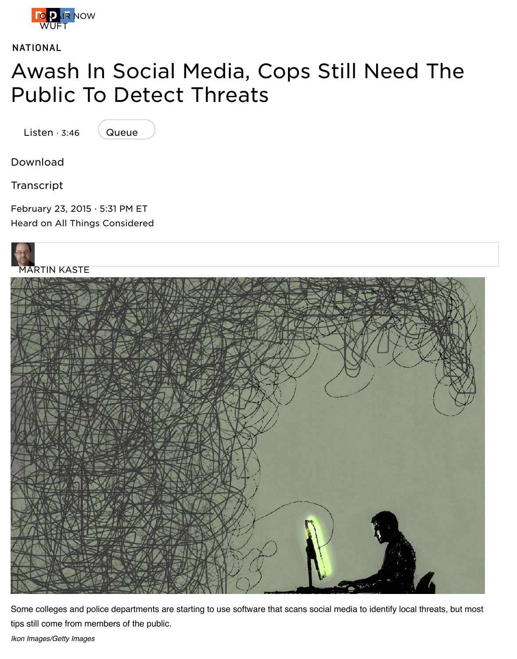#### P[ublic](https://www.npr.org/) To Detect Threats

Listen · 3:46



Download

Transcript

February 23, 2015 · 5:31 PM ET Heard on All Things Considered



Some colleges and police departments are starting to use software that scans social media to identify local threa tips still come from members of the public.

*Ikon Images/Getty Images*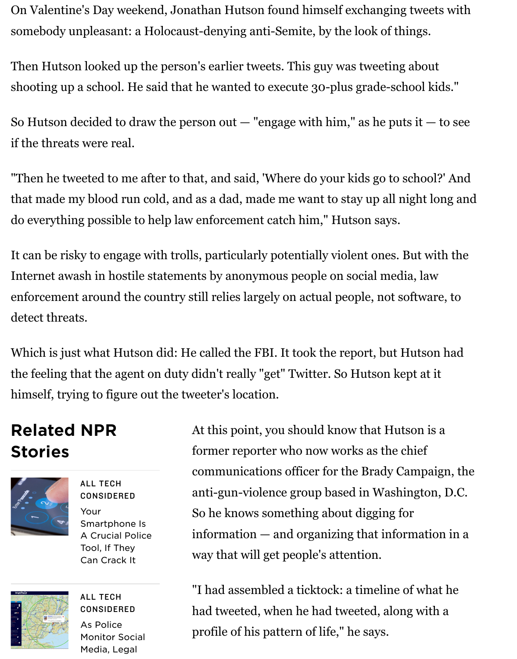ap a school. He said that he wanted to execute 30-plus grade-school he

So Hutson decided to draw the person out  $-$  "engage with him," as he puts it  $$ if the threats were real.

"Then he tweeted to me after to that, and said, 'Where do your kids go to school' that made my blood run cold, and as a dad, made me want to stay up all night lo do everything possible to help law enforcement catch him," Hutson says.

It can be risky to engage with trolls, particularly potentially violent ones. But with the risky to engage with trolls, particularly potentially violent ones. But with Internet awash in hostile statements by anonymous people on social media, law enforcement around the country still relies largely on actual people, not software detect threats.

Which is just what Hutson did: He called the FBI. It took the report, but Hutson the feeling that the agent on duty didn't really "get" Twitter. So Hutson kept at it himself, trying to figure out the tweeter's location.

# Related NPR Stories



ALL TECH CONSIDERED Your Smartphone Is A Crucial Police Tool, If They Can Crack It



ALL TECH CONSIDERED As Police [Monitor Social](https://www.npr.org/sections/alltechconsidered/2014/03/25/291925559/your-smartphone-is-a-crucial-police-tool-if-they-can-crack-it)

Media, Legal

At this point, you should know that Hutson is former reporter who now works as the chief communications officer for the Brady Campaign anti-gun-violence group based in Washington So he knows something about digging for  $information - and organizing that information$ way that will get people's attention.

"I had assembled a ticktock: a timeline of what had tweeted, when he had tweeted, along with profile of his pattern of life," he says.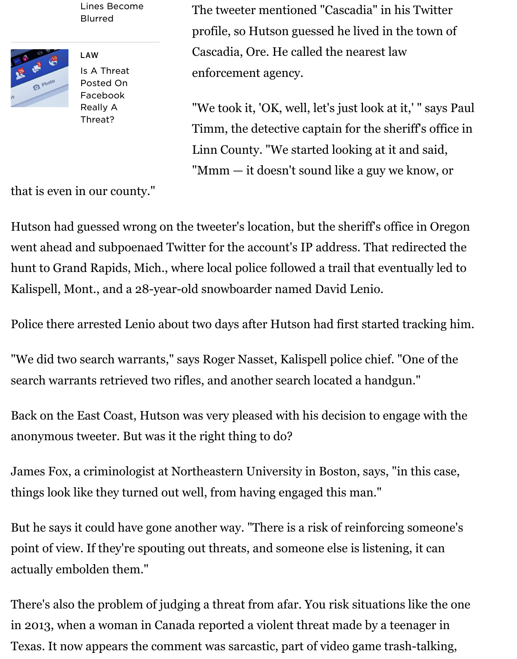

[Facebook](https://www.npr.org/sections/alltechconsidered/2014/02/28/284131881/as-police-monitor-social-media-legal-lines-become-blurred) Really A Threat?

"We took it, 'OK, well, let's just look at it,' " say Timm, the detective captain for the sheriff's of Linn County. "We started looking at it and said "Mmm  $-$  it doesn't sound like a guy we know,

that is even i[n our coun](https://www.npr.org/2014/12/01/366534452/is-a-threat-posted-on-facebook-really-a-threat)ty."

Hutson had guessed wrong on the tweeter's location, but the sheriff's office in O went ahead and subpoenaed Twitter for the account's IP address. That redirecte hunt to Grand Rapids, Mich., where local police followed a trail that eventually l Kalispell, Mont., and a 28-year-old snowboarder named David Lenio.

Police there arrested Lenio about two days after Hutson had first started trackin

"We did two search warrants," says Roger Nasset, Kalispell police chief. "One of search warrants retrieved two rifles, and another search located a handgun."

Back on the East Coast, Hutson was very pleased with his decision to engage wit anonymous tweeter. But was it the right thing to do?

James Fox, a criminologist at Northeastern University in Boston, says, "in this c things look like they turned out well, from having engaged this man."

But he says it could have gone another way. "There is a risk of reinforcing some point of view. If they're spouting out threats, and someone else is listening, it can actually embolden them."

There's also the problem of judging a threat from afar. You risk situations like the in 2013, when a woman in Canada reported a violent threat made by a teenager Texas. It now appears the comment was sarcastic, part of video game trash-talki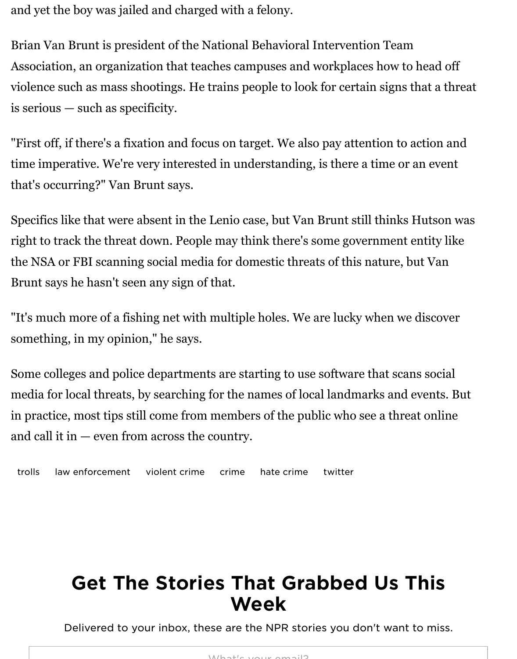violence such as mass shootings. He trains people to look for certain signs that a threat is serious — such as specificity.

"First off, if there's a fixation and focus on target. We also pay attention to action time imperative. We're very interested in understanding, is there a time or an ev that's occurring?" Van Brunt says.

Specifics like that were absent in the Lenio case, but Van Brunt still thinks Hutson right to track the threat down. People may think there's some government entity the NSA or FBI scanning social media for domestic threats of this nature, but Van Brunt says he hasn't seen any sign of that.

"It's much more of a fishing net with multiple holes. We are lucky when we disco something, in my opinion," he says.

Some colleges and police departments are starting to use software that scans soot media for local threats, by searching for the names of local landmarks and event in practice, most tips still come from members of the public who see a threat on and call it in — even from across the country.

trolls law enforcement violent crime crime hate crime twitter

### Get The Stories That Grabbed Us This Week

Delivered to your inbox, these are the NPR stories you don't want to mi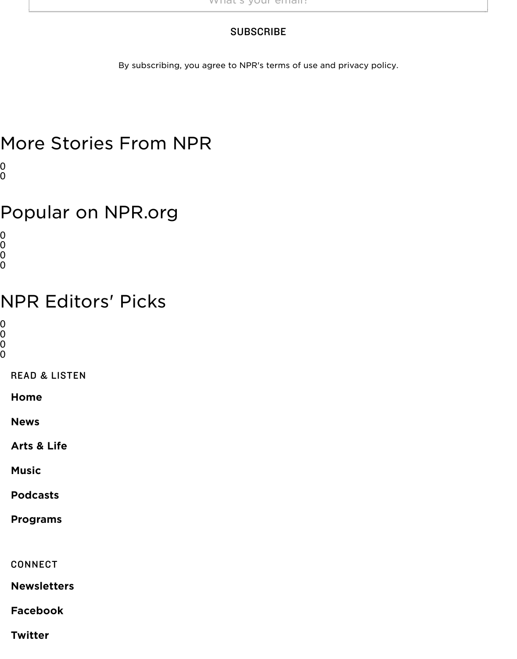## More Stories From NPR

 $\overline{0}$ 0

### Popular on NPR.org

0 0

0  $\rm\tilde{0}$ 

#### NPR Editors' Picks

0

0 0

0

READ & LISTEN

Home

News

Arts & Life

Music

[Podca](https://www.npr.org/)sts

[Progr](https://www.npr.org/sections/news/)ams

[CONNE](https://www.npr.org/music/)CT

[Newslette](https://www.npr.org/podcasts/)rs

[Facebook](https://www.npr.org/programs/)

**Twitter**